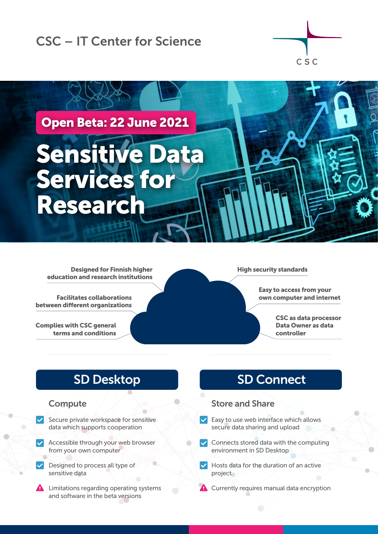# CSC – IT Center for Science





Designed for Finnish higher education and research institutions

Facilitates collaborations between different organizations

Complies with CSC general terms and conditions

#### High security standards

Easy to access from your own computer and internet

> CSC as data processor Data Owner as data controller

# SD Desktop

### **Compute**

- $\vee$  Secure private workspace for sensitive data which supports cooperation
- Accessible through your web browser from your own computer
- Designed to process all type of sensitive data
- **A** Limitations regarding operating systems and software in the beta versions

# SD Connect

### Store and Share

- $\vee$  Easy to use web interface which allows secure data sharing and upload
- $\vee$  Connects stored data with the computing environment in SD Desktop
- $\vee$  Hosts data for the duration of an active project
- **A** Currently requires manual data encryption